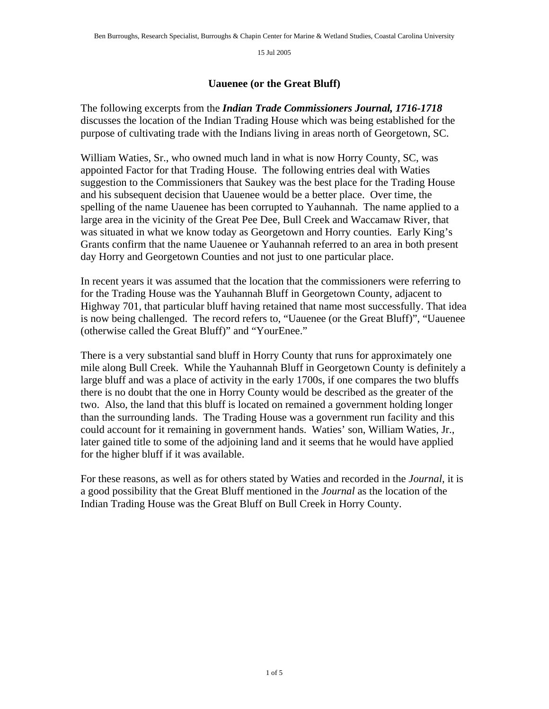## **Uauenee (or the Great Bluff)**

The following excerpts from the *Indian Trade Commissioners Journal, 1716-1718* discusses the location of the Indian Trading House which was being established for the purpose of cultivating trade with the Indians living in areas north of Georgetown, SC.

William Waties, Sr., who owned much land in what is now Horry County, SC, was appointed Factor for that Trading House. The following entries deal with Waties suggestion to the Commissioners that Saukey was the best place for the Trading House and his subsequent decision that Uauenee would be a better place. Over time, the spelling of the name Uauenee has been corrupted to Yauhannah. The name applied to a large area in the vicinity of the Great Pee Dee, Bull Creek and Waccamaw River, that was situated in what we know today as Georgetown and Horry counties. Early King's Grants confirm that the name Uauenee or Yauhannah referred to an area in both present day Horry and Georgetown Counties and not just to one particular place.

In recent years it was assumed that the location that the commissioners were referring to for the Trading House was the Yauhannah Bluff in Georgetown County, adjacent to Highway 701, that particular bluff having retained that name most successfully. That idea is now being challenged. The record refers to, "Uauenee (or the Great Bluff)", "Uauenee (otherwise called the Great Bluff)" and "YourEnee."

There is a very substantial sand bluff in Horry County that runs for approximately one mile along Bull Creek. While the Yauhannah Bluff in Georgetown County is definitely a large bluff and was a place of activity in the early 1700s, if one compares the two bluffs there is no doubt that the one in Horry County would be described as the greater of the two. Also, the land that this bluff is located on remained a government holding longer than the surrounding lands. The Trading House was a government run facility and this could account for it remaining in government hands. Waties' son, William Waties, Jr., later gained title to some of the adjoining land and it seems that he would have applied for the higher bluff if it was available.

For these reasons, as well as for others stated by Waties and recorded in the *Journal*, it is a good possibility that the Great Bluff mentioned in the *Journal* as the location of the Indian Trading House was the Great Bluff on Bull Creek in Horry County.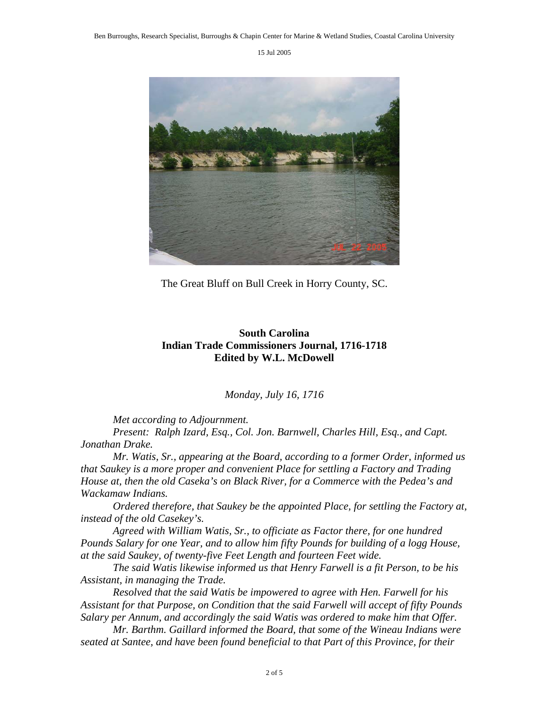

The Great Bluff on Bull Creek in Horry County, SC.

## **South Carolina Indian Trade Commissioners Journal, 1716-1718 Edited by W.L. McDowell**

*Monday, July 16, 1716* 

*Met according to Adjournment.* 

*Present: Ralph Izard, Esq., Col. Jon. Barnwell, Charles Hill, Esq., and Capt. Jonathan Drake.* 

 *Mr. Watis, Sr., appearing at the Board, according to a former Order, informed us that Saukey is a more proper and convenient Place for settling a Factory and Trading House at, then the old Caseka's on Black River, for a Commerce with the Pedea's and Wackamaw Indians.* 

 *Ordered therefore, that Saukey be the appointed Place, for settling the Factory at, instead of the old Casekey's.* 

 *Agreed with William Watis, Sr., to officiate as Factor there, for one hundred Pounds Salary for one Year, and to allow him fifty Pounds for building of a logg House, at the said Saukey, of twenty-five Feet Length and fourteen Feet wide.* 

 *The said Watis likewise informed us that Henry Farwell is a fit Person, to be his Assistant, in managing the Trade.* 

 *Resolved that the said Watis be impowered to agree with Hen. Farwell for his Assistant for that Purpose, on Condition that the said Farwell will accept of fifty Pounds Salary per Annum, and accordingly the said Watis was ordered to make him that Offer.* 

 *Mr. Barthm. Gaillard informed the Board, that some of the Wineau Indians were seated at Santee, and have been found beneficial to that Part of this Province, for their*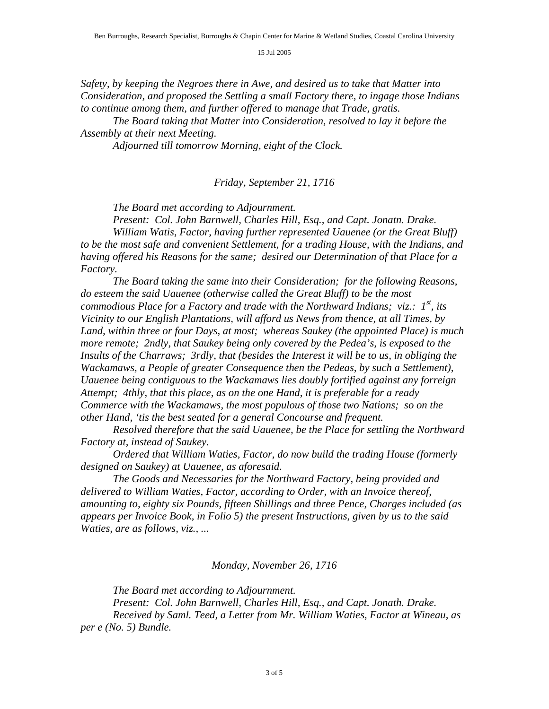*Safety, by keeping the Negroes there in Awe, and desired us to take that Matter into Consideration, and proposed the Settling a small Factory there, to ingage those Indians to continue among them, and further offered to manage that Trade, gratis.* 

 *The Board taking that Matter into Consideration, resolved to lay it before the Assembly at their next Meeting.* 

*Adjourned till tomorrow Morning, eight of the Clock.* 

## *Friday, September 21, 1716*

*The Board met according to Adjournment.* 

*Present: Col. John Barnwell, Charles Hill, Esq., and Capt. Jonatn. Drake. William Watis, Factor, having further represented Uauenee (or the Great Bluff) to be the most safe and convenient Settlement, for a trading House, with the Indians, and having offered his Reasons for the same; desired our Determination of that Place for a Factory.* 

 *The Board taking the same into their Consideration; for the following Reasons, do esteem the said Uauenee (otherwise called the Great Bluff) to be the most commodious Place for a Factory and trade with the Northward Indians; viz.: 1<sup>st</sup>, its Vicinity to our English Plantations, will afford us News from thence, at all Times, by Land, within three or four Days, at most; whereas Saukey (the appointed Place) is much more remote; 2ndly, that Saukey being only covered by the Pedea's, is exposed to the Insults of the Charraws; 3rdly, that (besides the Interest it will be to us, in obliging the Wackamaws, a People of greater Consequence then the Pedeas, by such a Settlement), Uauenee being contiguous to the Wackamaws lies doubly fortified against any forreign Attempt; 4thly, that this place, as on the one Hand, it is preferable for a ready Commerce with the Wackamaws, the most populous of those two Nations; so on the other Hand, 'tis the best seated for a general Concourse and frequent.* 

 *Resolved therefore that the said Uauenee, be the Place for settling the Northward Factory at, instead of Saukey.* 

 *Ordered that William Waties, Factor, do now build the trading House (formerly designed on Saukey) at Uauenee, as aforesaid.* 

 *The Goods and Necessaries for the Northward Factory, being provided and delivered to William Waties, Factor, according to Order, with an Invoice thereof, amounting to, eighty six Pounds, fifteen Shillings and three Pence, Charges included (as appears per Invoice Book, in Folio 5) the present Instructions, given by us to the said Waties, are as follows, viz., ...* 

*Monday, November 26, 1716* 

 *The Board met according to Adjournment. Present: Col. John Barnwell, Charles Hill, Esq., and Capt. Jonath. Drake. Received by Saml. Teed, a Letter from Mr. William Waties, Factor at Wineau, as per e (No. 5) Bundle.*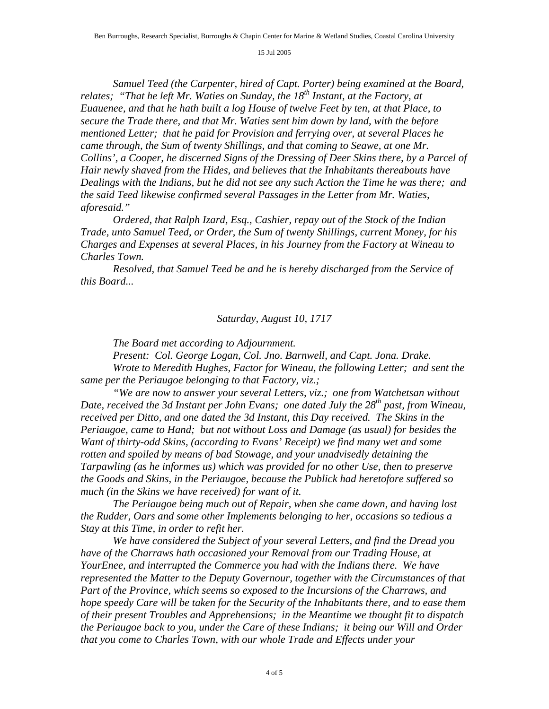*Samuel Teed (the Carpenter, hired of Capt. Porter) being examined at the Board, relates; "That he left Mr. Waties on Sunday, the 18<sup>th</sup> Instant, at the Factory, at Euauenee, and that he hath built a log House of twelve Feet by ten, at that Place, to secure the Trade there, and that Mr. Waties sent him down by land, with the before mentioned Letter; that he paid for Provision and ferrying over, at several Places he came through, the Sum of twenty Shillings, and that coming to Seawe, at one Mr. Collins', a Cooper, he discerned Signs of the Dressing of Deer Skins there, by a Parcel of Hair newly shaved from the Hides, and believes that the Inhabitants thereabouts have Dealings with the Indians, but he did not see any such Action the Time he was there; and the said Teed likewise confirmed several Passages in the Letter from Mr. Waties, aforesaid."* 

 *Ordered, that Ralph Izard, Esq., Cashier, repay out of the Stock of the Indian Trade, unto Samuel Teed, or Order, the Sum of twenty Shillings, current Money, for his Charges and Expenses at several Places, in his Journey from the Factory at Wineau to Charles Town.* 

 *Resolved, that Samuel Teed be and he is hereby discharged from the Service of this Board...* 

## *Saturday, August 10, 1717*

*The Board met according to Adjournment.* 

 *Present: Col. George Logan, Col. Jno. Barnwell, and Capt. Jona. Drake. Wrote to Meredith Hughes, Factor for Wineau, the following Letter; and sent the* 

*same per the Periaugoe belonging to that Factory, viz.;* 

 *"We are now to answer your several Letters, viz.; one from Watchetsan without*  Date, received the 3d Instant per John Evans; one dated July the 28<sup>th</sup> past, from Wineau, *received per Ditto, and one dated the 3d Instant, this Day received. The Skins in the Periaugoe, came to Hand; but not without Loss and Damage (as usual) for besides the Want of thirty-odd Skins, (according to Evans' Receipt) we find many wet and some rotten and spoiled by means of bad Stowage, and your unadvisedly detaining the Tarpawling (as he informes us) which was provided for no other Use, then to preserve the Goods and Skins, in the Periaugoe, because the Publick had heretofore suffered so much (in the Skins we have received) for want of it.* 

 *The Periaugoe being much out of Repair, when she came down, and having lost the Rudder, Oars and some other Implements belonging to her, occasions so tedious a Stay at this Time, in order to refit her.* 

 *We have considered the Subject of your several Letters, and find the Dread you have of the Charraws hath occasioned your Removal from our Trading House, at YourEnee, and interrupted the Commerce you had with the Indians there. We have represented the Matter to the Deputy Governour, together with the Circumstances of that Part of the Province, which seems so exposed to the Incursions of the Charraws, and hope speedy Care will be taken for the Security of the Inhabitants there, and to ease them of their present Troubles and Apprehensions; in the Meantime we thought fit to dispatch the Periaugoe back to you, under the Care of these Indians; it being our Will and Order that you come to Charles Town, with our whole Trade and Effects under your*